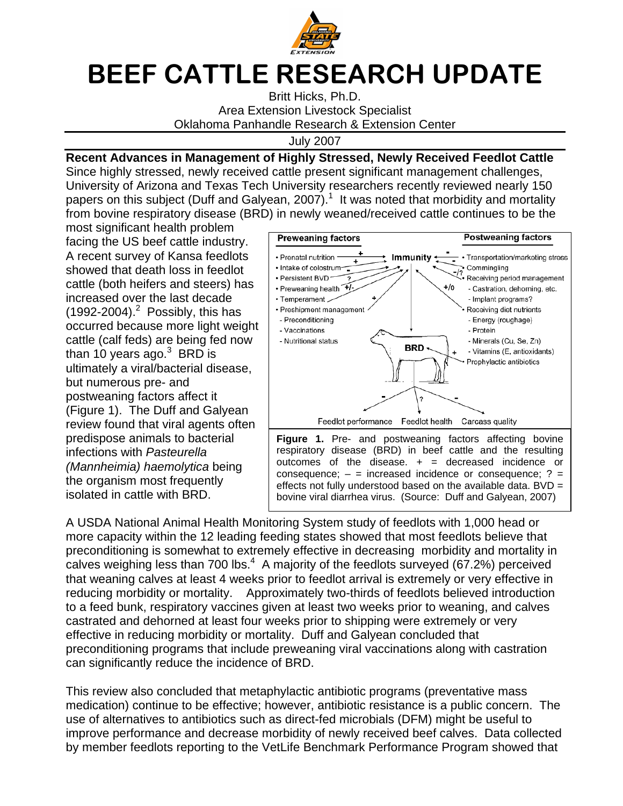

## BEEF CATTLE RESEARCH UPDATE

Britt Hicks, Ph.D. Area Extension Livestock Specialist Oklahoma Panhandle Research & Extension Center

July 2007

## **Recent Advances in Management of Highly Stressed, Newly Received Feedlot Cattle**

Since highly stressed, newly received cattle present significant management challenges, University of Arizona and Texas Tech University researchers recently reviewed nearly 150 papers on this subject (Duff and Galyean, 2007).<sup>1</sup> It was noted that morbidity and mortality from bovine respiratory disease (BRD) in newly weaned/received cattle continues to be the

most significant health problem facing the US beef cattle industry. A recent survey of Kansa feedlots showed that death loss in feedlot cattle (both heifers and steers) has increased over the last decade  $(1992-2004).<sup>2</sup>$  Possibly, this has occurred because more light weight cattle (calf feds) are being fed now than 10 years ago. $^3$  BRD is ultimately a viral/bacterial disease, but numerous pre- and postweaning factors affect it (Figure 1). The Duff and Galyean review found that viral agents often predispose animals to bacterial infections with Pasteurella (Mannheimia) haemolytica being the organism most frequently isolated in cattle with BRD.



A USDA National Animal Health Monitoring System study of feedlots with 1,000 head or more capacity within the 12 leading feeding states showed that most feedlots believe that preconditioning is somewhat to extremely effective in decreasing morbidity and mortality in calves weighing less than 700 lbs. $4\,$  A majority of the feedlots surveyed (67.2%) perceived that weaning calves at least 4 weeks prior to feedlot arrival is extremely or very effective in reducing morbidity or mortality. Approximately two-thirds of feedlots believed introduction to a feed bunk, respiratory vaccines given at least two weeks prior to weaning, and calves castrated and dehorned at least four weeks prior to shipping were extremely or very effective in reducing morbidity or mortality. Duff and Galyean concluded that preconditioning programs that include preweaning viral vaccinations along with castration can significantly reduce the incidence of BRD.

This review also concluded that metaphylactic antibiotic programs (preventative mass medication) continue to be effective; however, antibiotic resistance is a public concern. The use of alternatives to antibiotics such as direct-fed microbials (DFM) might be useful to improve performance and decrease morbidity of newly received beef calves. Data collected by member feedlots reporting to the VetLife Benchmark Performance Program showed that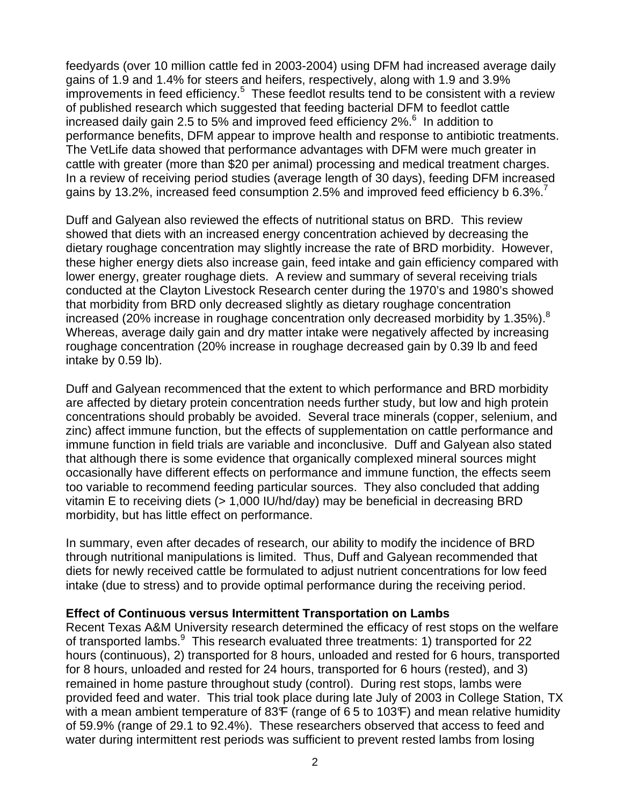feedyards (over 10 million cattle fed in 2003-2004) using DFM had increased average daily gains of 1.9 and 1.4% for steers and heifers, respectively, along with 1.9 and 3.9% improvements in feed efficiency. $5$  These feedlot results tend to be consistent with a review of published research which suggested that feeding bacterial DFM to feedlot cattle increased daily gain 2.5 to 5% and improved feed efficiency  $2\%$ .<sup>6</sup> In addition to performance benefits, DFM appear to improve health and response to antibiotic treatments. The VetLife data showed that performance advantages with DFM were much greater in cattle with greater (more than \$20 per animal) processing and medical treatment charges. In a review of receiving period studies (average length of 30 days), feeding DFM increased gains by 13.2%, increased feed consumption 2.5% and improved feed efficiency b 6.3%.<sup>7</sup>

Duff and Galyean also reviewed the effects of nutritional status on BRD. This review showed that diets with an increased energy concentration achieved by decreasing the dietary roughage concentration may slightly increase the rate of BRD morbidity. However, these higher energy diets also increase gain, feed intake and gain efficiency compared with lower energy, greater roughage diets. A review and summary of several receiving trials conducted at the Clayton Livestock Research center during the 1970's and 1980's showed that morbidity from BRD only decreased slightly as dietary roughage concentration increased (20% increase in roughage concentration only decreased morbidity by 1.35%). $8$ Whereas, average daily gain and dry matter intake were negatively affected by increasing roughage concentration (20% increase in roughage decreased gain by 0.39 lb and feed intake by 0.59 lb).

Duff and Galyean recommenced that the extent to which performance and BRD morbidity are affected by dietary protein concentration needs further study, but low and high protein concentrations should probably be avoided. Several trace minerals (copper, selenium, and zinc) affect immune function, but the effects of supplementation on cattle performance and immune function in field trials are variable and inconclusive. Duff and Galyean also stated that although there is some evidence that organically complexed mineral sources might occasionally have different effects on performance and immune function, the effects seem too variable to recommend feeding particular sources. They also concluded that adding vitamin E to receiving diets (> 1,000 IU/hd/day) may be beneficial in decreasing BRD morbidity, but has little effect on performance.

In summary, even after decades of research, our ability to modify the incidence of BRD through nutritional manipulations is limited. Thus, Duff and Galyean recommended that diets for newly received cattle be formulated to adjust nutrient concentrations for low feed intake (due to stress) and to provide optimal performance during the receiving period.

## **Effect of Continuous versus Intermittent Transportation on Lambs**

Recent Texas A&M University research determined the efficacy of rest stops on the welfare of transported lambs. This research evaluated three treatments: 1) transported for 22 hours (continuous), 2) transported for 8 hours, unloaded and rested for 6 hours, transported for 8 hours, unloaded and rested for 24 hours, transported for 6 hours (rested), and 3) remained in home pasture throughout study (control). During rest stops, lambs were provided feed and water. This trial took place during late July of 2003 in College Station, TX with a mean ambient temperature of 83 $F$  (range of 65 to 103 $F$ ) and mean relative humidity of 59.9% (range of 29.1 to 92.4%). These researchers observed that access to feed and water during intermittent rest periods was sufficient to prevent rested lambs from losing